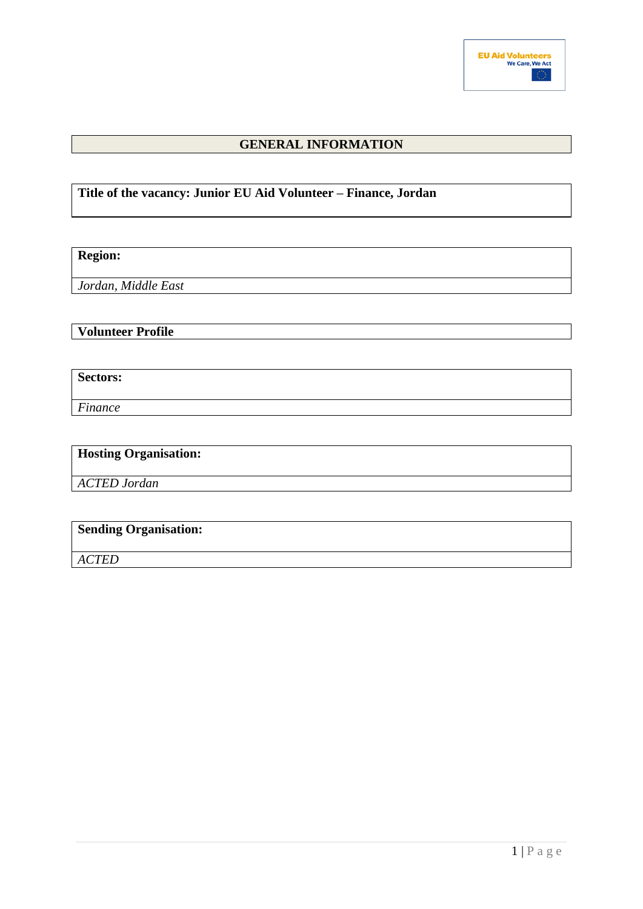

## **GENERAL INFORMATION**

## **Title of the vacancy: Junior EU Aid Volunteer – Finance, Jordan**

**Region:**

*Jordan, Middle East*

**Volunteer Profile**

**Sectors:**

*Finance*

## **Hosting Organisation:**

*ACTED Jordan*

# **Sending Organisation:**

*ACTED*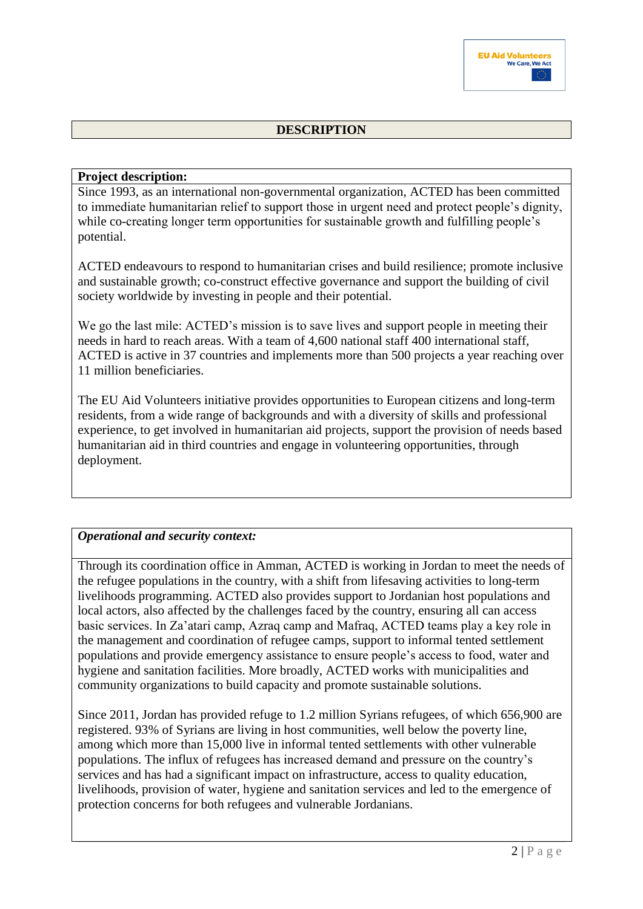## **DESCRIPTION**

#### **Project description:**

Since 1993, as an international non-governmental organization, ACTED has been committed to immediate humanitarian relief to support those in urgent need and protect people's dignity, while co-creating longer term opportunities for sustainable growth and fulfilling people's potential.

ACTED endeavours to respond to humanitarian crises and build resilience; promote inclusive and sustainable growth; co-construct effective governance and support the building of civil society worldwide by investing in people and their potential.

We go the last mile: ACTED's mission is to save lives and support people in meeting their needs in hard to reach areas. With a team of 4,600 national staff 400 international staff, ACTED is active in 37 countries and implements more than 500 projects a year reaching over 11 million beneficiaries.

The EU Aid Volunteers initiative provides opportunities to European citizens and long-term residents, from a wide range of backgrounds and with a diversity of skills and professional experience, to get involved in humanitarian aid projects, support the provision of needs based humanitarian aid in third countries and engage in volunteering opportunities, through deployment.

## *Operational and security context:*

Through its coordination office in Amman, ACTED is working in Jordan to meet the needs of the refugee populations in the country, with a shift from lifesaving activities to long-term livelihoods programming. ACTED also provides support to Jordanian host populations and local actors, also affected by the challenges faced by the country, ensuring all can access basic services. In Za'atari camp, Azraq camp and Mafraq, ACTED teams play a key role in the management and coordination of refugee camps, support to informal tented settlement populations and provide emergency assistance to ensure people's access to food, water and hygiene and sanitation facilities. More broadly, ACTED works with municipalities and community organizations to build capacity and promote sustainable solutions.

Since 2011, Jordan has provided refuge to 1.2 million Syrians refugees, of which 656,900 are registered. 93% of Syrians are living in host communities, well below the poverty line, among which more than 15,000 live in informal tented settlements with other vulnerable populations. The influx of refugees has increased demand and pressure on the country's services and has had a significant impact on infrastructure, access to quality education, livelihoods, provision of water, hygiene and sanitation services and led to the emergence of protection concerns for both refugees and vulnerable Jordanians.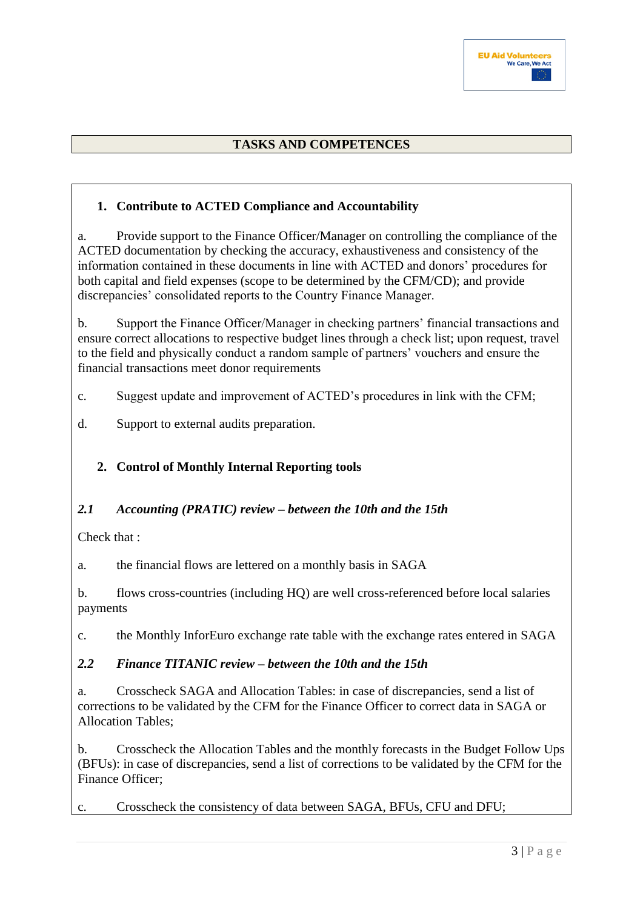## **TASKS AND COMPETENCES**

## **1. Contribute to ACTED Compliance and Accountability**

a. Provide support to the Finance Officer/Manager on controlling the compliance of the ACTED documentation by checking the accuracy, exhaustiveness and consistency of the information contained in these documents in line with ACTED and donors' procedures for both capital and field expenses (scope to be determined by the CFM/CD); and provide discrepancies' consolidated reports to the Country Finance Manager.

b. Support the Finance Officer/Manager in checking partners' financial transactions and ensure correct allocations to respective budget lines through a check list; upon request, travel to the field and physically conduct a random sample of partners' vouchers and ensure the financial transactions meet donor requirements

c. Suggest update and improvement of ACTED's procedures in link with the CFM;

d. Support to external audits preparation.

## **2. Control of Monthly Internal Reporting tools**

## *2.1 Accounting (PRATIC) review – between the 10th and the 15th*

Check that :

a. the financial flows are lettered on a monthly basis in SAGA

b. flows cross-countries (including HQ) are well cross-referenced before local salaries payments

c. the Monthly InforEuro exchange rate table with the exchange rates entered in SAGA

## *2.2 Finance TITANIC review – between the 10th and the 15th*

a. Crosscheck SAGA and Allocation Tables: in case of discrepancies, send a list of corrections to be validated by the CFM for the Finance Officer to correct data in SAGA or Allocation Tables;

b. Crosscheck the Allocation Tables and the monthly forecasts in the Budget Follow Ups (BFUs): in case of discrepancies, send a list of corrections to be validated by the CFM for the Finance Officer;

c. Crosscheck the consistency of data between SAGA, BFUs, CFU and DFU;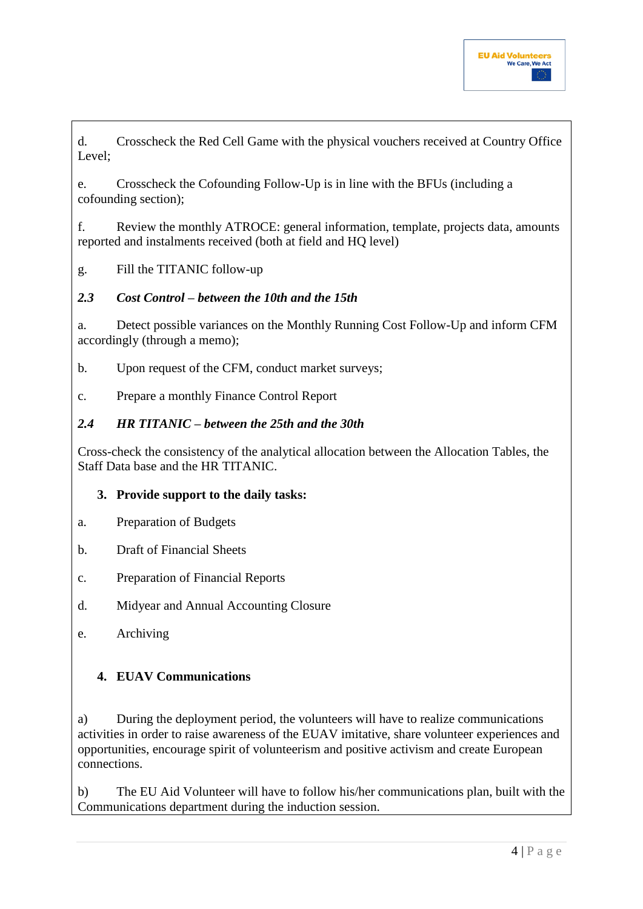d. Crosscheck the Red Cell Game with the physical vouchers received at Country Office Level;

e. Crosscheck the Cofounding Follow-Up is in line with the BFUs (including a cofounding section);

f. Review the monthly ATROCE: general information, template, projects data, amounts reported and instalments received (both at field and HQ level)

g. Fill the TITANIC follow-up

## *2.3 Cost Control – between the 10th and the 15th*

a. Detect possible variances on the Monthly Running Cost Follow-Up and inform CFM accordingly (through a memo);

b. Upon request of the CFM, conduct market surveys;

c. Prepare a monthly Finance Control Report

## *2.4 HR TITANIC – between the 25th and the 30th*

Cross-check the consistency of the analytical allocation between the Allocation Tables, the Staff Data base and the HR TITANIC.

## **3. Provide support to the daily tasks:**

- a. Preparation of Budgets
- b. Draft of Financial Sheets
- c. Preparation of Financial Reports
- d. Midyear and Annual Accounting Closure
- e. Archiving

#### **4. EUAV Communications**

a) During the deployment period, the volunteers will have to realize communications activities in order to raise awareness of the EUAV imitative, share volunteer experiences and opportunities, encourage spirit of volunteerism and positive activism and create European connections.

b) The EU Aid Volunteer will have to follow his/her communications plan, built with the Communications department during the induction session.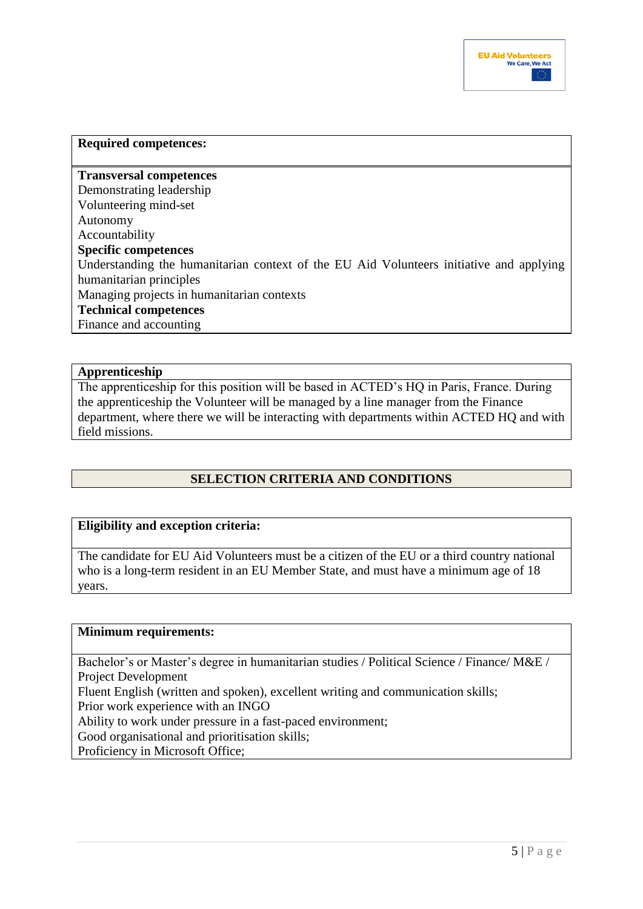

## **Required competences: Transversal competences**  Demonstrating leadership Volunteering mind-set Autonomy Accountability **Specific competences**  Understanding the humanitarian context of the EU Aid Volunteers initiative and applying humanitarian principles Managing projects in humanitarian contexts **Technical competences**  Finance and accounting

#### **Apprenticeship**

The apprenticeship for this position will be based in ACTED's HQ in Paris, France. During the apprenticeship the Volunteer will be managed by a line manager from the Finance department, where there we will be interacting with departments within ACTED HQ and with field missions.

## **SELECTION CRITERIA AND CONDITIONS**

#### **Eligibility and exception criteria:**

The candidate for EU Aid Volunteers must be a citizen of the EU or a third country national who is a long-term resident in an EU Member State, and must have a minimum age of 18 years.

#### **Minimum requirements:**

Bachelor's or Master's degree in humanitarian studies / Political Science / Finance/ M&E / Project Development Fluent English (written and spoken), excellent writing and communication skills; Prior work experience with an INGO Ability to work under pressure in a fast-paced environment; Good organisational and prioritisation skills; Proficiency in Microsoft Office;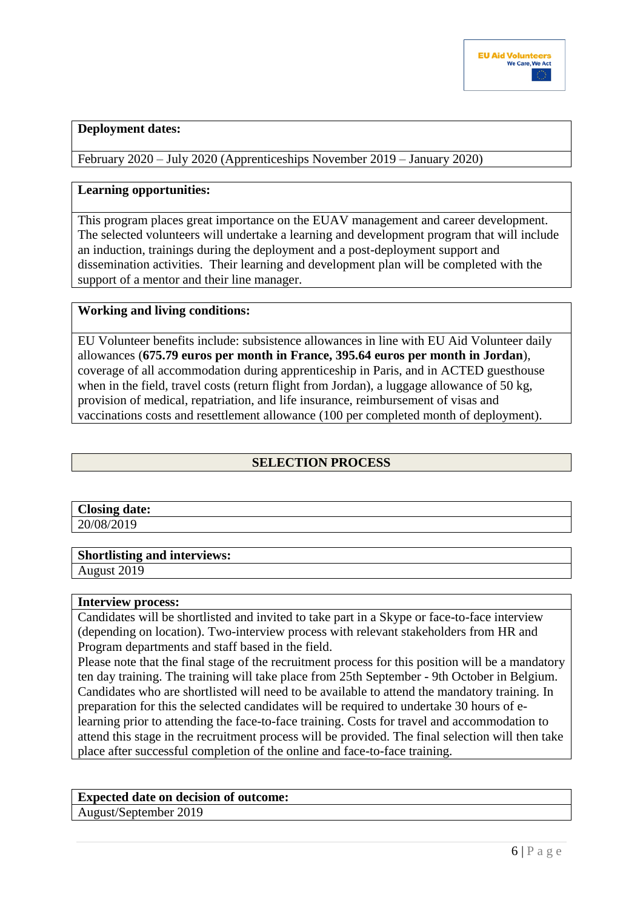#### **Deployment dates:**

February 2020 – July 2020 (Apprenticeships November 2019 – January 2020)

#### **Learning opportunities:**

This program places great importance on the EUAV management and career development. The selected volunteers will undertake a learning and development program that will include an induction, trainings during the deployment and a post-deployment support and dissemination activities. Their learning and development plan will be completed with the support of a mentor and their line manager.

#### **Working and living conditions:**

EU Volunteer benefits include: subsistence allowances in line with EU Aid Volunteer daily allowances (**675.79 euros per month in France, 395.64 euros per month in Jordan**), coverage of all accommodation during apprenticeship in Paris, and in ACTED guesthouse when in the field, travel costs (return flight from Jordan), a luggage allowance of 50 kg, provision of medical, repatriation, and life insurance, reimbursement of visas and vaccinations costs and resettlement allowance (100 per completed month of deployment).

## **SELECTION PROCESS**

| <b>Closing</b><br>date: |  |
|-------------------------|--|
| JO/<br>$\angle U$       |  |

**Shortlisting and interviews:**

August 2019

#### **Interview process:**

Candidates will be shortlisted and invited to take part in a Skype or face-to-face interview (depending on location). Two-interview process with relevant stakeholders from HR and Program departments and staff based in the field.

Please note that the final stage of the recruitment process for this position will be a mandatory ten day training. The training will take place from 25th September - 9th October in Belgium. Candidates who are shortlisted will need to be available to attend the mandatory training. In preparation for this the selected candidates will be required to undertake 30 hours of elearning prior to attending the face-to-face training. Costs for travel and accommodation to attend this stage in the recruitment process will be provided. The final selection will then take place after successful completion of the online and face-to-face training.

# **Expected date on decision of outcome:**

August/September 2019